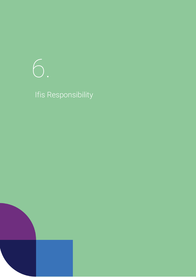# 6.

# Ifis Responsibility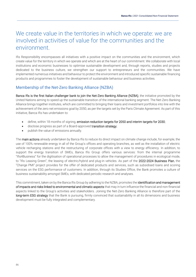# We create value in the territories in which we operate: we are involved in activities of value for the communities and the environment.

Ifis Responsibility encompasses all initiatives with a positive impact on the communities and the environment, which create value for the territory in which we operate and which are at the heart of our commitment. We collaborate with local institutions and economic businesses to optimise sustainable development and, through reports, studies and projects dedicated to the business culture, we strengthen our support to entrepreneurs and the communities. We have implemented numerous initiatives and behaviour to protect the environment and introduced specific sustainable financing products and programmes to foster the development of sustainable behaviour and business activities.

# Membership of the Net-Zero Banking Alliance (NZBA)

Banca Ifis is the first Italian challenger bank to join the Net-Zero Banking Alliance (NZBA), the initiative promoted by the United Nations aiming to speed up the sustainable transition of the international banking segment. The Net-Zero Banking Alliance brings together institutes, which are committed to bringing their loans and investment portfolios into line with the achievement of the zero net emissions goal by 2050, as per the targets set by the Paris Climate Agreement. As part of this initiative, Banca Ifis has undertaken to:

- define, within 18 months of signing, emission reduction targets for 2050 and interim targets for 2030;
- disclose progress as part of a Board-approved transition strategy;
- publish the value of emissions annually.

The main actions already undertaken by Banca Ifis to reduce its direct impact on climate change include, for example, the use of 100% renewable energy in all of the Group's offices and operating branches, as well as the installation of electric vehicle recharging stations and the restructuring of corporate offices with a view to energy efficiency. In addition, to support the energy transition of SMEs, Banca Ifis Group offers various services: from the internal programme "Ifis4Business" for the digitisation of operational processes to allow the management of procedures in ecological mode, to "Ifis Leasing Green", the leasing of electric/hybrid and plug-in vehicles. As part of the 2022-2024 Business Plan, the "Change PMI" project provides for the offer of dedicated products and services, such as subsidised loans and scoring services on the ESG performance of customers. In addition, through its Studies Office, the Bank promotes a culture of business sustainability amongst SMEs, with dedicated periodic research and analyses.

This commitment, taken on by the Banca Ifis Group by adhering to the NZBA, promotes the **identification and management** of impacts and risks linked to environmental and climatic aspects that may in turn influence the financial and non-financial aspects linked to the Group's activities and stakeholders. Joining the Net-Zero Banking Alliance is therefore part of the long-term ESG strategy that the Bank is pursuing, firmly convinced that sustainability in all its dimensions and business development must be fully integrated and complementary.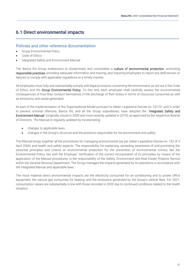# 6.1 Direct environmental impacts

# Policies and other reference documentation

- Group Environmental Policy
- Code of Ethics
- Integrated Safety and Environment Manual

The Banca Ifis Group endeavours to disseminate and consolidate a culture of environmental protection, promoting responsible practices, providing adequate information and training, and requiring employees to report any deficiencies or failures to comply with applicable regulations in a timely manner.

All employees must fully and substantially comply with legal provisions concerning the environment, as set out in the Code of Ethics and the Group Environmental Policy. To this end, each employee shall carefully assess the environmental consequences of how they conduct themselves in the discharge of their duties in terms of resources consumed as well as emissions and waste generated.

As part of the implementation of the Organisational Model pursuant to Italian Legislative Decree no. 231/01 and in order to prevent criminal offences, Banca Ifis, and all the Group subsidiaries, have adopted the "Integrated Safety and Environment Manual" (originally issued in 2009 and most recently updated in 2019), as approved by the respective Boards of Directors. The Manual is regularly updated by incorporating:

- changes to applicable laws;
- changes in the Group's structure and the positions responsible for the environment and safety.

The Manual brings together all the procedures for managing environmental (as per Italian Legislative Decree no. 152 of 3 April 2006) and health and safety aspects. The responsibility for explaining, spreading awareness of and promoting the essential principles and criteria on environmental protection for the prevention of environmental crimes, like the Environmental Policy, lies with the Employer. Verification of the correct incorporation of its principles, by means of the application of the Manual procedures, is the responsibility of the Safety, Environment and Real Estate Projects Service within the General Services Department. The Group manages the impacts generated by its operations in accordance with the Integrated Manual and applicable laws.

The most material direct environmental impacts are the electricity consumed for air-conditioning and to power office equipment, the natural gas consumed for heating, and the emissions generated by the Group's vehicle fleet. For 2021, consumption values are substantially in line with those recorded in 2020 due to continued conditions related to the health situation.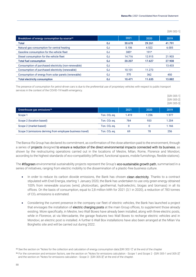[GRI 302-1]

| Breakdown of energy consumption by source <sup>35</sup> |    | 2021   | 2020                     | 2019   |
|---------------------------------------------------------|----|--------|--------------------------|--------|
| Total                                                   | GJ | 30.678 | 29.261                   | 41.791 |
| Natural gas consumption for central heating             | GJ | 5.106  | 4.522                    | 6.005  |
| Gasoline consumption for the vehicle fleet              | GJ | $385*$ | $191*$                   | $\sim$ |
| Diesel consumption for the vehicle fleet                | GJ | 14.716 | 12.915                   | 21.903 |
| <b>Total fuel consumption</b>                           | GJ | 20.207 | 17.627                   | 27.908 |
| Consumption of purchased electricity (non-renewable)    | GJ |        | $\overline{\phantom{0}}$ | 13.433 |
| Consumption of purchased electricity (renewable)        | GJ | 10.101 | 11.273                   |        |
| Consumption of energy from solar panels (renewable)     | GJ | 370    | 362                      | 450    |
| <b>Total electricity consumption</b>                    | GJ | 10.471 | 11.635                   | 13.882 |

The presence of consumption for petrol-driven cars is due to the preferential use of proprietary vehicles with respect to public transport services in the context of the COVID-19 health emergency.

|                                                            |                |       |       | [GRI 305-1]<br>[GRI 305-2]<br>[GRI 305-3] |
|------------------------------------------------------------|----------------|-------|-------|-------------------------------------------|
| Greenhouse gas emissions <sup>36</sup>                     |                | 2021  | 2020  | 2019                                      |
| Scope 1                                                    | Ton. $CO2$ eq. | 1.419 | 1.236 | 1.977                                     |
| Scope 2 (location based)                                   | Ton. $CO2$ eq. | 784   | 933   | 1.204                                     |
| Scope 2 (market based)                                     | Ton. $CO2$ eq. |       | 0     | 1.166                                     |
| Scope 3 (emissions deriving from employee business travel) | Ton. $CO2$ eq. | 69    | 78    | 256                                       |

The Banca Ifis Group has declared its commitment, as confirmation of the close attention paid to the environment, through a series of projects designed to ensure a reduction of the direct environmental impacts connected with its business, as shown by the restructuring operations carried out in the locations of Mestre, Milan, Rome, Florence and Mondovì, according to the highest standards of eco-compatibility (efficient, functional spaces, mobile furnishings, flexible stations).

The #Ifisgreen environmental sustainability projects represent the Group's eco-sustainable growth path, summarised in a series of initiatives, ranging from electric mobility to the dissemination of a plastic-free business culture.

- In order to reduce its carbon dioxide emissions, the Bank has chosen clean electricity. Thanks to a contract stipulated with Enel Energia, starting 1 January 2020, the Bank has undertaken to use only green energy obtained 100% from renewable sources (wind, photovoltaic, geothermal, hydroelectric, biogas and biomass) in all its offices. On the basis of consumption, equal to 2,8 million kWh for 2021 (3,1 in 2020), a reduction of 783 tonnes of CO<sub>2</sub> emissions is estimated.
- Considering the current presence in the company car fleet of electric vehicles, the Bank has launched a project that envisages the installation of electric charging posts at the main Group offices, to supplement those already existing. More specifically, in Mestre, two Wall Boxes have already been installed, along with three electric posts, while in Florence, at via Mercadante, the garage features two Wall Boxes to recharge electric vehicles and in Mondoví, an electric post is installed. A further 6 Wall Box installations have also been arranged at the Milan Via Borghetto site and will be carried out during 2022.

<sup>35</sup> See the section on "Notes for the collection and calculation of energy consumption data [GRI 302-1]" at the end of the chapter

<sup>&</sup>lt;sup>36</sup> For the conversion and emission factors, see the section on "Notes for emissions calculation - Scope 1 and Scope 2 - [GRI 305-1 and 305-2]" and the section on "Notes for emissions calculation - Scope 3 - [GRI 305-3]" at the end of the chapter.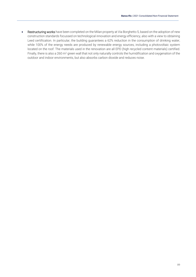• Restructuring works have been completed on the Milan property at Via Borghetto 5, based on the adoption of new construction standards focussed on technological innovation and energy efficiency, also with a view to obtaining Leed certification. In particular, the building guarantees a 62% reduction in the consumption of drinking water, while 100% of the energy needs are produced by renewable energy sources, including a photovoltaic system located on the roof. The materials used in the renovation are all EPD (high recycled content materials) certified. Finally, there is also a 260 m<sup>2</sup> green wall that not only naturally controls the humidification and oxygenation of the outdoor and indoor environments, but also absorbs carbon dioxide and reduces noise.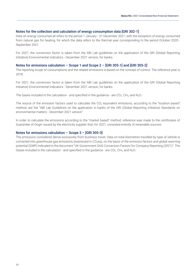#### Notes for the collection and calculation of energy consumption data [GRI 302-1]

Data on energy consumed all refers to the period 1 January - 31 December 2021, with the exception of energy consumed from natural gas for heating, for which the data refers to the thermal year corresponding to the period October 2020 - September 2021.

For 2021, the conversion factor is taken from the ABI Lab guidelines on the application of the GRI (Global Reporting Initiative) Environmental Indicators - December 2021 version, for banks.

#### Notes for emissions calculation – Scope 1 and Scope 2 – [GRI 305-1] and [GRI 305-2]

The reporting scope of consumptions and the related emissions is based on the concept of control. The reference year is 2018.

For 2021, the conversion factor is taken from the ABI Lab guidelines on the application of the GRI (Global Reporting Initiative) Environmental Indicators - December 2021 version, for banks.

The Gases included in the calculation - and specified in the guidance - are  $CO<sub>2</sub>$ , CH<sub>4</sub>, and N<sub>2</sub>O.

The source of the emission factors used to calculate the  $CO<sub>2</sub>$  equivalent emissions, according to the "location based" method, are the "ABI Lab Guidelines on the application in banks of the GRI (Global Reporting Initiative) Standards on environmental matters - December 2021 version".

In order to calculate the emissions according to the "market based" method, reference was made to the certificates of Guarantee of Origin issued by the electricity supplier that, for 2021, consisted entirely of renewable sources.

#### Notes for emissions calculation – Scope 3 – [GRI 305-3]

The emissions considered derive exclusively from business travel. Data on total kilometres travelled by type of vehicle is converted into greenhouse gas emissions (expressed in CO<sub>2</sub>eq), on the basis of the emission factors and global warming potential (GWP) indicated in the document "UK Government GHG Conversion Factors for Company Reporting (2021)". The Gases included in the calculation - and specified in the guidance - are  $CO<sub>2</sub>$ , CH<sub>4</sub>, and N<sub>2</sub>O.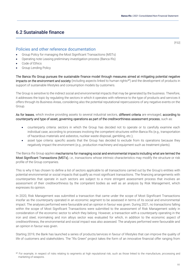# 6.2 Sustainable finance

# Policies and other reference documentation

- Group Policy for managing the Most Significant Transactions (MSTs)
- Operating note Leasing preliminary investigation process (Banca Ifis)
- Code of Ethics
- Group Lending Policy

The Banca Ifis Group pursues the sustainable finance model through measures aimed at mitigating potential negative impacts on the environment and society (including aspects linked to human rights<sup>37</sup>) and the development of products in support of sustainable lifestyles and consumption models by customers.

The Group is sensitive to the indirect social and environmental impacts that may be generated by the business. Therefore, it addresses the topic by regulating the sectors in which it operates with reference to the type of products and services it offers through its Business Areas, considering also the potential reputational repercussions of any negative events on the Group.

As for leases, which involve providing assets to several industrial sectors, different criteria are envisaged, according to counterparty and type of asset, governing operations as part of the creditworthiness assessment process, such as:

- counterparty criteria: sectors in which the Group has decided not to operate or to carefully examine each individual case, according to processes involving the competent structures within Banca Ifis (e.g., transportation of hazardous materials and asbestos, nuclear waste disposal, gambling, etc.);
- asset type criteria: specific assets that the Group has decided to exclude from its operations because they negatively impact the environment (e.g., production machinery and equipment such as treatment plants).

The Banca Ifis Group applies mechanisms for managing social and environmental impacts including what are termed the Most Significant Transactions (MSTs), i.e., transactions whose intrinsic characteristics may modify the structure or risk profile of the Group companies.

This is why it has chosen to define a list of sectors applicable to all transactions carried out by the Group's entities with potential environmental or social impacts that qualify as most significant transactions. The financing arrangements with counterparties that operate in such sectors are subject to a more stringent assessment process that involves an assessment of their creditworthiness by the competent bodies as well as an analysis by Risk Management, which expresses its opinion.

In 2020, Risk Management was submitted a transaction that came under the scope of Most Significant Transactions insofar as the counterparty operated in an economic segment to be assessed in terms of its social and environmental impact. The analyses performed were favourable and an opinion in favour was given. During 2021, no transactions falling within the scope of Most Significant Transactions were submitted to the assessment of Risk Management solely in consideration of the economic sector to which they belong. However, a transaction with a counterparty operating in the iron and steel, ironmaking and iron alloys sector was evaluated for which, in addition to the economic aspect of creditworthiness, the environmental and social impact was also assessed. The analyses performed were favourable and an opinion in favour was given.

Starting 2019, the Bank has launched a series of products/services in favour of lifestyles that can improve the quality of life of customers and stakeholders. The "Ifis Green" project takes the form of an innovative financial offer ranging from

[FS2]

<sup>&</sup>lt;sup>37</sup> For example, in respect of risks relating to segments at high reputational risk, such as those linked to the manufacture, processing and marketing of weapons.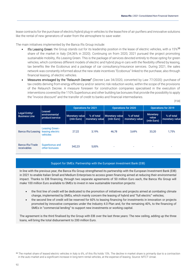lease contracts for the purchase of electric/hybrid plug-in vehicles to the lease/hire of air purifiers and innovative solutions like the rental of new generators of water from the atmosphere to save water.

The main initiatives implemented by the Banca Ifis Group include:

- Ifis Leasing Green: the Group stands out for its leadership position in the lease of electric vehicles, with a 15%<sup>38</sup> share of the market in Italy (34,36% in 2020). Continuing on from 2020, 2021 pursued the project promoting sustainable mobility, Ifis Leasing Green. This is the package of services devoted entirely to those opting for green vehicles, which combines different models of electric and hybrid plug-in cars with the flexibility offered by leasing, tax benefits like the Ecobonus and a package of car consultancy/insurance services. During 2021, the sales network was constantly informed about the new state incentives "Ecobonus" linked to the purchase, also through financial leasing, of electric vehicles.
- Measures envisaged by the "Relaunch Decree" (Decree Law 34/2020, converted by Law 77/2020): purchase of tax credits deriving from energy efficiency and/or seismic risk reduction works, within the scope of the provisions of the Relaunch Decree. A measure foreseen for construction companies specialised in the execution of interventions covered by the 110% Superbonus and other building tax bonuses that provide the possibility to apply the "invoice discount" and the transfer of credit to banks and financial intermediaries.

[FS8]

| Legal Entity/<br><b>Business Line</b>  | Leased<br>environmental<br>product/service             | <b>Operations for 2021</b>          |                              | <b>Operations for 2020</b>          |                              | <b>Operations for 2019</b>             |                              |
|----------------------------------------|--------------------------------------------------------|-------------------------------------|------------------------------|-------------------------------------|------------------------------|----------------------------------------|------------------------------|
|                                        |                                                        | <b>Monetary value</b><br>(mln Euro) | % of total<br>monetary value | <b>Monetary value</b><br>(mln Euro) | % of total<br>monetary value | <b>Monetary</b><br>value<br>(mln Euro) | % of total<br>monetary value |
| Banca Ifis/Leasing                     | <b>Leasing Green -</b><br>leasing electric<br>vehicles | 27.22                               | 3.19%                        | 46.78                               | 3.69%                        | 33.20                                  | 1,75%                        |
| <b>Banca Ifis/Trade</b><br>receivables | Superbonus and<br>other bonuses                        | 342.23                              | 5.00%                        | $\overline{\phantom{a}}$            | $\overline{\phantom{a}}$     | $\overline{\phantom{0}}$               | ۰                            |

#### Support for SMEs: Partnership with the European Investment Bank (EIB)

In line with the previous year, the Banca Ifis Group strengthened its partnership with the European Investment Bank (EIB) in 2021 to enable Italian Small and Medium Enterprises to access green financing aimed at reducing their environmental impact. Thanks to EIB financing, through two separate agreements of 50 million Euro each, the Banca Ifis Group will make 100 million Euro available to SMEs to invest in new sustainable transition projects:

- the first line of credit will be dedicated to the promotion of initiatives and projects aimed at combating climate change, implemented by SMEs, which mainly concern the leasing of hybrid and "full electric" vehicles;
- the second line of credit will be reserved for 60% to leasing financing for investments in innovation or projects promoted by innovative companies under the Industry 4.0 Plan and, for the remaining 40%, to the financing of SMEs in "commercial lending" to support new investments or working capital.

The agreement is the third finalised by the Group with EIB over the last three years: The new ceiling, adding up the three loans, will bring the total disbursement to 200 million Euro.

<sup>38</sup> The market share of leased electric vehicles in Italy is 6%, of this Ifis holds 15%. The decline in market share is primarily due to a contraction in the auto market and a significant increase in long-term rental vehicles, at the expense of leasing. Source: MTCT Unrae.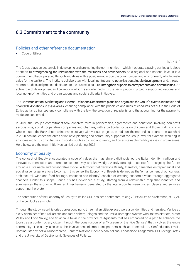# 6.3 Committment to the community

# Policies and other reference documentation

Code of Ethics

[GRI 413-1]

The Group plays an active role in developing and promoting the communities in which it operates, paying particularly close attention to strengthening the relationship with the territories and stakeholders on a regional and national level. It is a commitment that is pursued through initiatives with a positive impact on the communities and environment, which create value for the territory. The Institute collaborates with local institutions to optimise sustainable development and, through reports, studies and projects dedicated to the business culture, strengthen support to entrepreneurs and communities. An active role of development and promotion, which is also defined with the participation in projects supporting national and local non-profit entities and organisations and social solidarity initiatives.

The Communication, Marketing and External Relations Department plans and organises the Group's events, initiatives and charitable donations in these areas, ensuring compliance with the principles and rules of conducts set out in the Code of Ethics as far as transparency, compliance with the law, the selection of recipients, and the accounting for the payments made are concerned.

In 2021, the Group's commitment took concrete form in partnerships, agreements and donations involving non-profit associations, social cooperative companies and charities, with a particular focus on children and those in difficulty, in whose regard the Bank chose to intervene actively with various projects. In addition, the rebranding programme launched in 2020 has influenced the areas of initiative planning and community support at the Group level, for example, resulting in an increased focus on initiatives in sports, such as cycling and skiing, and on sustainable mobility issues in urban areas. Here below are the main initiatives carried out during 2021.

# Economy of beauty

The concept of Beauty encapsulates a code of values that has always distinguished the Italian identity: tradition and innovation, connection and competence, creativity and knowledge. A truly strategic resource for designing the future around a sustainable and collaborative model. A territory that develops Beauty, therefore, generates entrepreneurial and social value for generations to come. In this sense, the Economy of Beauty is defined as the "enhancement of our cultural, architectural, wine and food heritage, traditions and identity" capable of creating economic value through aggregated channels. Under this scope, Banca Ifis has developed a study, starting from a relationship map that identifies and summarises the economic flows and mechanisms generated by the interaction between places, players and services supporting the system.

The contribution of the Economy of Beauty to Italian GDP has been estimated, taking 2019 values as a reference, at 17,2% of the product as a whole.

Through the study, case histories corresponding to three Italian cities/places were also identified and narrated: Venice as a city-container of natural, artistic and taste riches; Bologna and the Emilia-Romagna system with its two districts, Motor Valley and Food Valley; and Sciacca, a town in the province of Agrigento that has embarked on a path to enhance the tourist as a contemporary citizen through the construction of a "Museum of the Five Senses" that involves the entire community. The study also saw the involvement of important partners such as Federculture, Confindustria Emilia, Confindustria Venezia, Museimpresa, Camera Nazionale della Moda Italiana, Fondazione Altagamma, POLI.design, Artex and the University of Gastronomic Sciences of Pollenzo.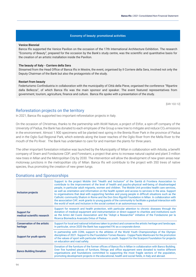#### Economy of beauty: promotional activities

#### **Venice Biennial**

Banca Ifis supported the Venice Pavilion on the occasion of the 17th International Architecture Exhibition. The research "Economy of Beauty", prepared for the occasion by the Bank's study centre, was the scientific and quantitative basis for the creation of an artistic installation inside the Pavilion.

#### **The beauty of Italy - Corriere della Sera**

Streamed from the Head Office of Banca Ifis in Mestre, the event, organised by Il Corriere della Sera, involved not only the Deputy Chairman of the Bank but also the protagonists of the study.

#### **Restart from beauty**

Federturismo Confindustria in collaboration with the municipality of Città della Pieve, organised the conference "Ripartire dalla Bellezza", of which Banca Ifis was the main sponsor and speaker. The event featured representatives from government, tourism, agriculture, finance and culture. Banca Ifis spoke with a presentation of the study.

[GRI 102-12]

## Reforestation projects on the territory

In 2021, Banca Ifis supported two important reforestation projects in Italy.

On the occasion of Christmas, thanks to the partnership with WoW Nature, a project of Etifor, a spin-off company of the University of Padua, the Bank has donated to each employee of the Group a new tree to mitigate and reduce CO2 emissions in the environment. Almost 1.900 specimens will be planted next spring in the Brenta River Park in the province of Padua and in the Oglio Sud Regional Park, which extends along the lower reaches of the Oglio River from the Mella River to the mouth of the Po River. The Bank has undertaken to care for and maintain the plants for three years.

The other important forestation initiative was launched by the Municipality of Milan in collaboration with Arbolia, a benefit company of Snam and Fondazione CDP, and Forestami, a project that aims to increase natural capital and plant 3 million new trees in Milan and the Metropolitan City by 2030. The intervention will allow the development of new green areas near motorway junctions in the metropolitan city of Milan. Banca Ifis will contribute to the project with 350 trees of native species, thus promoting the creation of new green lungs.

# Donations and Sponsorships

| Inclusion projects                              | Support to the project Mobile Unit "Health and Inclusion" of the Sanità di Frontiera Association to<br>contribute to the improvement of the level of health and psycho-physical well-being of disadvantaged<br>people, in particular adult migrants, women and children. The Mobile Unit provides health care services,<br>as well as orientation and information on the health system and access to services in the area. Support<br>to organisations that deal with supporting families and young people in difficult situations such as the<br>Catholic community Shalom in Rome and the Don Gino Rigoldi Foundation in Milan. In collaboration with<br>the association CAF, work grants to young quests of the community to facilitate a gradual interaction with<br>the world of work and inclusion in the social context in an autonomous way. |
|-------------------------------------------------|------------------------------------------------------------------------------------------------------------------------------------------------------------------------------------------------------------------------------------------------------------------------------------------------------------------------------------------------------------------------------------------------------------------------------------------------------------------------------------------------------------------------------------------------------------------------------------------------------------------------------------------------------------------------------------------------------------------------------------------------------------------------------------------------------------------------------------------------------|
| Support for<br>medical-scientific research      | Support for research and health protection, with particular attention to chronic diseases through the<br>donation of medical equipment and instrumentation or direct support to charities and institutions such<br>as the Amici del Cuore Association and the "Adopt a Researcher" initiative of the Fondazione per la<br>Ricerca Biomedica Avanzata Onlus of Padua.                                                                                                                                                                                                                                                                                                                                                                                                                                                                                 |
| <b>Conservation of the artistic</b><br>heritage | Support for local and national initiatives taken to protect and conserve the artistic heritage and landscape.<br>In particular, since 2020 the Bank has supported FAI as a corporate donor.                                                                                                                                                                                                                                                                                                                                                                                                                                                                                                                                                                                                                                                          |
| <b>Support for youth sports</b>                 | In partnership with CONI, support to the athletes of the World Youth Championships of the Olympic<br>disciplines of 2021. Support to the Foundation Torneo Ravano - Coppa Paolo Mantovani for the promotion<br>of the values of sport with particular reference to youth. Support for the Scarponi Foundation for projects<br>on education and road safety.                                                                                                                                                                                                                                                                                                                                                                                                                                                                                          |
| <b>Banco Building Donation</b>                  | Donation of the furniture of the former offices of Banca Ifis in Milan in collaboration with Banco Building.<br>Over five hundred pieces of furniture, fittings and office equipment were donated to twelve different<br>organisations and foundations committed to supporting the most fragile sectors of the population,<br>promoting development projects in the educational, health and social fields, in Italy and abroad.                                                                                                                                                                                                                                                                                                                                                                                                                      |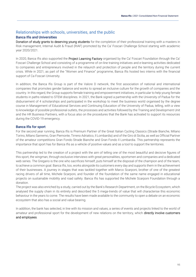# Relationships with schools, universities, and the public

## Banca Ifis and Universities

Donation of study grants to deserving young students for the completion of their professional training with a masters in Risk management, Internal Audit & Fraud (RIAF) promoted by the Ca' Foscari Challenge School starting with academic year 2020/2021.

In 2020, Banca Ifis also supported the Project Learning Factory organised by the Ca' Foscari Foundation through the Ca' Foscari Challenge School and consisting of a programme of on-line training initiatives and e-learning activities dedicated to companies and entrepreneurs involved in the relaunch and protection of people and the territory during the current crisis. While in 2021, as part of the "Women and Finance" programme, Banca Ifis hosted two interns with the financial support of Ca Foscari University.

In addition, the Banca Ifis Group is part of the Valore D network, the first association of national and international companies that promotes gender balance and works to spread an inclusive culture for the growth of companies and the country. In this regard, the Group supports female training and empowerment initiatives, in particular to help young female students in paths related to STEM disciplines. In 2021, the Bank signed a partnership with the University of Padua for the disbursement of 4 scholarships and participated in the workshop to meet the business world organised by the degree course in Management of Educational Services and Continuing Education of the University of Padua, telling, with a view to knowledge of possible professional outlets, the processes and activities followed by the Training and Development Unit and the HR Business Partners, with a focus also on the procedures that the Bank has activated to support its resources during the COVID-19 emergency.

#### Banca Ifis for sport

For the second year running, Banca Ifis is Premium Partner of the Great Italian Cycling Classics (Strade Bianche, Milano Torino, Milano Sanremo, Gran Piemonte, Tirreno Adriatico, Il Lombardia) and of the Giro di Sicilia, as well as Official Partner of the amateur competitions Gran Fondo Strade Bianche and Gran Fondo Il Lombardia. This partnership represents the importance that sport has for Banca Ifis as a vehicle of positive values and as a tool to support the territories.

This partnership led to the creation of a project with the aim of telling one of the most beautiful and decisive figures of this sport, the wingman, through exclusive interviews with great personalities, sportsmen and companies and a dedicated web series. The Gregario is the one who sacrifices himself, puts himself at the disposal of the champion and of the team, to achieve a common goal. Banca Ifis, too, works alongside its customers every day and supports them in the achievement of their businesses. A journey in stages that was tackled together with Marco Scarponi, brother of one of the greatest racing drivers of all time, Michele Scarponi, and founder of the foundation of the same name engaged in educational projects on sustainable mobility and road safety. Banca Ifis has supported the Michele Scarponi Foundation through a donation.

The project was also enriched by a study, carried out by the Bank's Research Department, on the Bicycle Ecosystem, which analysed the supply chain in its entirety and described the 5 mega-trends of value that will characterise this economic behaviour in the years to come. The results have been made available to the community to open a debate on an economic ecosystem that also has a social and value bearing.

In addition, the bank has selected, in line with its mission and values, a series of events and projects linked to the world of amateur and professional sport for the development of new relations on the territory, which directly involve customers and employees.